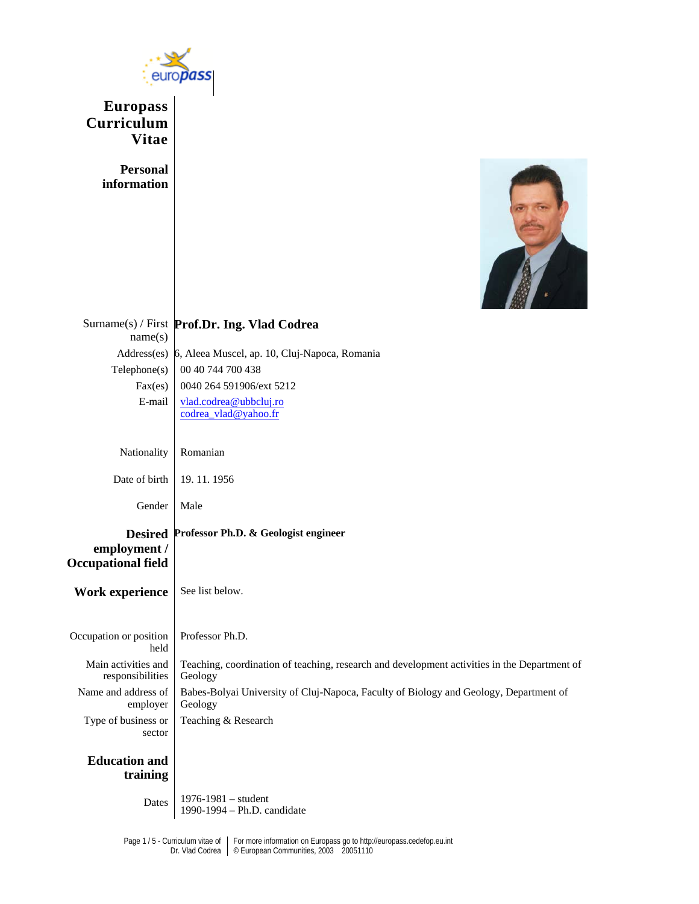

**Europass Curriculum Vitae** 

> **Personal information**



|                                           | Surname(s) / First Prof.Dr. Ing. Vlad Codrea                                                            |
|-------------------------------------------|---------------------------------------------------------------------------------------------------------|
| name(s)                                   |                                                                                                         |
|                                           | Address(es) 6, Aleea Muscel, ap. 10, Cluj-Napoca, Romania                                               |
| Telephone(s)                              | 00 40 744 700 438                                                                                       |
| Fax(es)                                   | 0040 264 591906/ext 5212                                                                                |
| E-mail                                    | vlad.codrea@ubbcluj.ro<br>codrea vlad@yahoo.fr                                                          |
|                                           |                                                                                                         |
|                                           |                                                                                                         |
| Nationality                               | Romanian                                                                                                |
| Date of birth                             | 19.11.1956                                                                                              |
| Gender                                    | Male                                                                                                    |
| employment /<br><b>Occupational field</b> | Desired Professor Ph.D. & Geologist engineer                                                            |
| <b>Work experience</b>                    | See list below.                                                                                         |
| Occupation or position<br>held            | Professor Ph.D.                                                                                         |
| Main activities and<br>responsibilities   | Teaching, coordination of teaching, research and development activities in the Department of<br>Geology |
| Name and address of<br>employer           | Babes-Bolyai University of Cluj-Napoca, Faculty of Biology and Geology, Department of<br>Geology        |
| Type of business or<br>sector             | Teaching & Research                                                                                     |
| <b>Education and</b><br>training          |                                                                                                         |
| Dates                                     | $1976 - 1981 - student$<br>1990-1994 - Ph.D. candidate                                                  |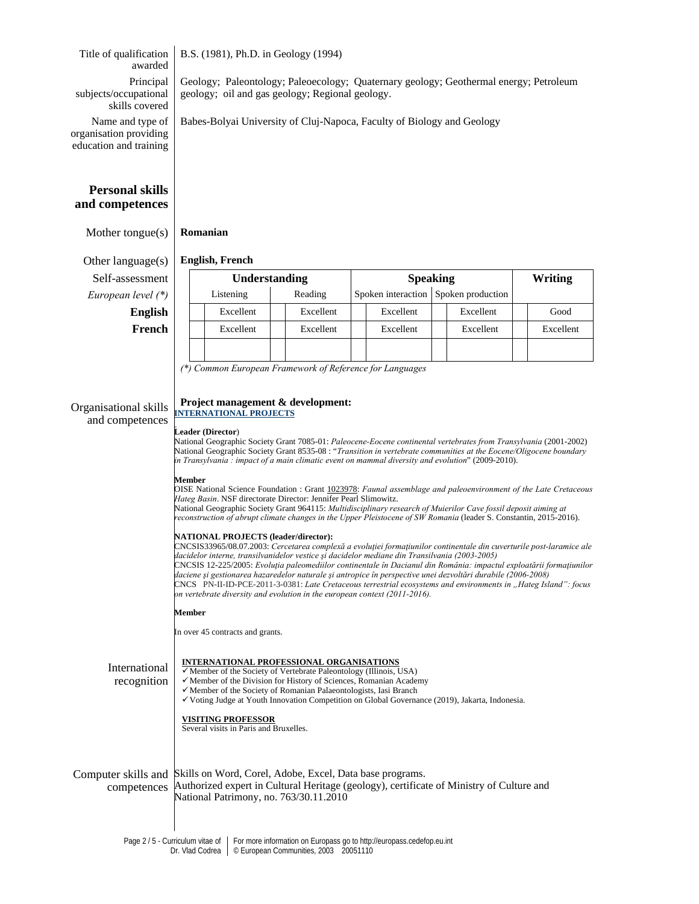Title of qualification B.S. (1981), Ph.D. in Geology (1994)

awarded Principal subjects/occupational skills covered

Geology; Paleontology; Paleoecology; Quaternary geology; Geothermal energy; Petroleum geology; oil and gas geology; Regional geology.

Babes-Bolyai University of Cluj-Napoca, Faculty of Biology and Geology

Name and type of organisation providing education and training

# **Personal skills and competences**

Mother tongue(s) **Romanian**

Other language(s) **English, French**   $Self-assessment$ *European level* (\*)

| essment        |  | <b>Understanding</b> |           | <b>Speaking</b>                      |           | Writing   |
|----------------|--|----------------------|-----------|--------------------------------------|-----------|-----------|
| level $(*)$    |  | Listening            | Reading   | Spoken interaction Spoken production |           |           |
| <b>English</b> |  | Excellent            | Excellent | Excellent                            | Excellent | Good      |
| French         |  | Excellent            | Excellent | Excellent                            | Excellent | Excellent |
|                |  |                      |           |                                      |           |           |

*(\*) Common European Framework of Reference for Languages*

#### Organisational skills and competences **Project management & development: INTERNATIONAL PROJECTS**

# **Leader (Director**)

National Geographic Society Grant 7085-01: *Paleocene-Eocene continental vertebrates from Transylvania* (2001-2002) National Geographic Society Grant 8535-08 : "*Transition in vertebrate communities at the Eocene/Oligocene boundary in Transylvania : impact of a main climatic event on mammal diversity and evolution*" (2009-2010).

### **Member**

OISE National Science Foundation : Grant 1023978: *Faunal assemblage and paleoenvironment of the Late Cretaceous Hateg Basin*. NSF directorate Director: Jennifer Pearl Slimowitz.

National Geographic Society Grant 964115: *Multidisciplinary research of Muierilor Cave fossil deposit aiming at reconstruction of abrupt climate changes in the Upper Pleistocene of SW Romania* (leader S. Constantin, 2015-2016).

### **NATIONAL PROJECTS (leader/director):**

CNCSIS33965/08.07.2003: *Cercetarea complexă a evoluţiei formaţiunilor continentale din cuverturile post-laramice ale dacidelor interne, transilvanidelor vestice şi dacidelor mediane din Transilvania (2003-2005)* CNCSIS 12-225/2005: *Evoluţia paleomediilor continentale în Dacianul din România: impactul exploatării formaţiunilor daciene şi gestionarea hazaredelor naturale şi antropice în perspective unei dezvoltări durabile (2006-2008)*  CNCS PN-II-ID-PCE-2011-3-0381: *Late Cretaceous terrestrial ecosystems and environments in "Hateg Island": focus on vertebrate diversity and evolution in the european context (2011-2016).* 

### **Member**

In over 45 contracts and grants.

| International<br>recognition       | <b>INTERNATIONAL PROFESSIONAL ORGANISATIONS</b><br>$\checkmark$ Member of the Society of Vertebrate Paleontology (Illinois, USA)<br>$\checkmark$ Member of the Division for History of Sciences, Romanian Academy<br>$\checkmark$ Member of the Society of Romanian Palaeontologists, Iasi Branch<br>$\checkmark$ Voting Judge at Youth Innovation Competition on Global Governance (2019), Jakarta, Indonesia. |
|------------------------------------|-----------------------------------------------------------------------------------------------------------------------------------------------------------------------------------------------------------------------------------------------------------------------------------------------------------------------------------------------------------------------------------------------------------------|
|                                    | <b>VISITING PROFESSOR</b><br>Several visits in Paris and Bruxelles.                                                                                                                                                                                                                                                                                                                                             |
| Computer skills and<br>competences | Skills on Word, Corel, Adobe, Excel, Data base programs.<br>Authorized expert in Cultural Heritage (geology), certificate of Ministry of Culture and<br>National Patrimony, no. 763/30.11.2010                                                                                                                                                                                                                  |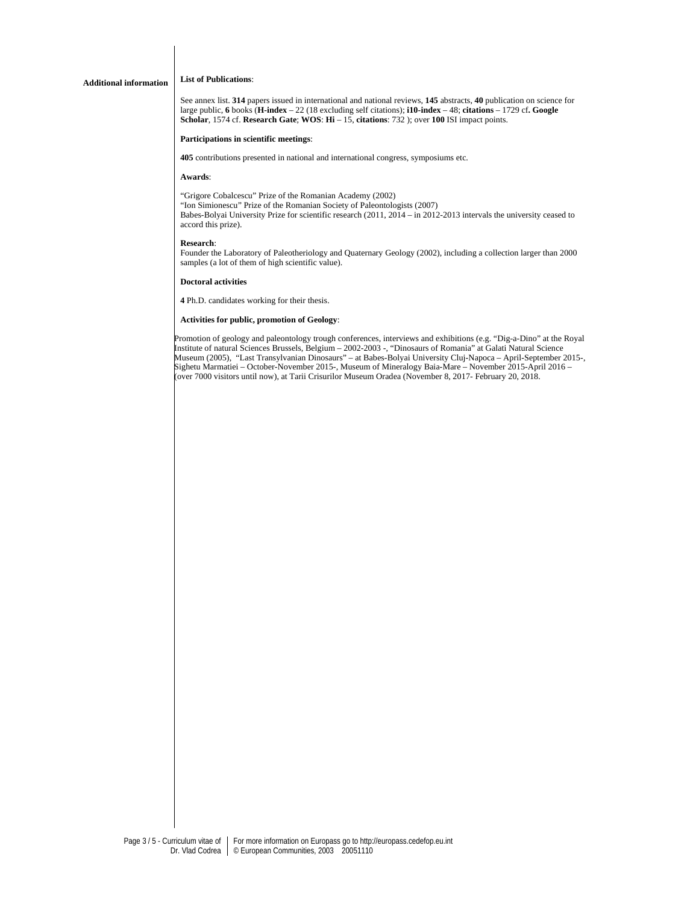## **Additional information List of Publications**:

See annex list. **314** papers issued in international and national reviews, **145** abstracts, **40** publication on science for large public, **6** books (**H-index** – 22 (18 excluding self citations); **i10-index** – 48; **citations** – 1729 cf**. Google Scholar**, 1574 cf. **Research Gate**; **WOS**: **Hi** – 15, **citations**: 732 ); over **100** ISI impact points.

### **Participations in scientific meetings**:

**405** contributions presented in national and international congress, symposiums etc.

### **Awards**:

"Grigore Cobalcescu" Prize of the Romanian Academy (2002) "Ion Simionescu" Prize of the Romanian Society of Paleontologists (2007) Babes-Bolyai University Prize for scientific research (2011, 2014 – in 2012-2013 intervals the university ceased to accord this prize).

### **Research**:

Founder the Laboratory of Paleotheriology and Quaternary Geology (2002), including a collection larger than 2000 samples (a lot of them of high scientific value).

### **Doctoral activities**

**4** Ph.D. candidates working for their thesis.

### **Activities for public, promotion of Geology**:

Promotion of geology and paleontology trough conferences, interviews and exhibitions (e.g. "Dig-a-Dino" at the Royal Institute of natural Sciences Brussels, Belgium – 2002-2003 -, "Dinosaurs of Romania" at Galati Natural Science Museum (2005), "Last Transylvanian Dinosaurs" – at Babes-Bolyai University Cluj-Napoca – April-September 2015-, Sighetu Marmatiei – October-November 2015-, Museum of Mineralogy Baia-Mare – November 2015-April 2016 – (over 7000 visitors until now), at Tarii Crisurilor Museum Oradea (November 8, 2017- February 20, 2018.